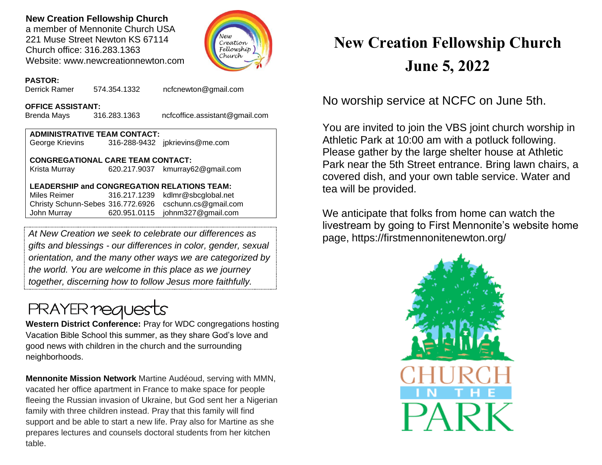## **New Creation Fellowship Church**

a member of Mennonite Church USA 221 Muse Street Newton KS 67114 Church office: 316.283.1363 Website: www.newcreationnewton.com



## **PASTOR:**

Derrick Ramer 574.354.1332 [ncfcnewton@gmail.com](mailto:ncfcnewton@gmail.com)

### **OFFICE ASSISTANT:**

Brenda Mays 316.283.1363 ncfcoffice.assistant@gmail.com

## **ADMINISTRATIVE TEAM CONTACT:**

George Krievins 316-288-9432 jpkrievins@me.com

## **CONGREGATIONAL CARE TEAM CONTACT:**

Krista Murray 620.217.9037 [kmurray62@gmail.com](mailto:kmurray62@gmail.com)

## **LEADERSHIP and CONGREGATION RELATIONS TEAM:**

Miles Reimer [316.217.1239](mailto:316.217.1239) kdlmr@sbcglobal.net Christy Schunn-Sebes 316.772.6926 cschunn.cs@gmail.com John Murray 620.951.0115 johnm327@gmail.com

*At New Creation we seek to celebrate our differences as gifts and blessings - our differences in color, gender, sexual orientation, and the many other ways we are categorized by the world. You are welcome in this place as we journey together, discerning how to follow Jesus more faithfully.*

## **PRAYER requests**

**Western District Conference:** Pray for WDC congregations hosting Vacation Bible School this summer, as they share God's love and good news with children in the church and the surrounding neighborhoods.

**Mennonite Mission Network** Martine Audéoud, serving with MMN, vacated her office apartment in France to make space for people fleeing the Russian invasion of Ukraine, but God sent her a Nigerian family with three children instead. Pray that this family will find support and be able to start a new life. Pray also for Martine as she prepares lectures and counsels doctoral students from her kitchen table.

# **New Creation Fellowship Church June 5, 2022**

No worship service at NCFC on June 5th.

You are invited to join the VBS joint church worship in Athletic Park at 10:00 am with a potluck following. Please gather by the large shelter house at Athletic Park near the 5th Street entrance. Bring lawn chairs, a covered dish, and your own table service. Water and tea will be provided.

We anticipate that folks from home can watch the livestream by going to First Mennonite's website home page, https://firstmennonitenewton.org/